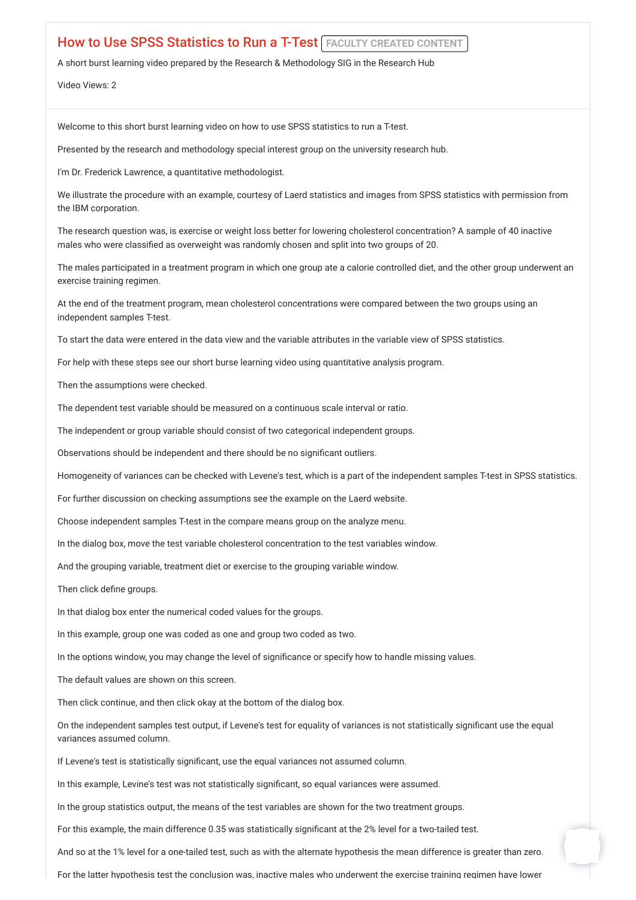## How to Use SPSS Statistics to Run a T-Test **FACULTY CREATED CONTENT**

A short burst learning video prepared by the Research & Methodology SIG in the Research Hub

Video Views: 2

Welcome to this short burst learning video on how to use SPSS statistics to run a T-test.

Presented by the research and methodology special interest group on the university research hub.

I'm Dr. Frederick Lawrence, a quantitative methodologist.

We illustrate the procedure with an example, courtesy of Laerd statistics and images from SPSS statistics with permission from the IBM corporation.

The research question was, is exercise or weight loss better for lowering cholesterol concentration? A sample of 40 inactive males who were classified as overweight was randomly chosen and split into two groups of 20.

The males participated in a treatment program in which one group ate a calorie controlled diet, and the other group underwent an exercise training regimen.

At the end of the treatment program, mean cholesterol concentrations were compared between the two groups using an independent samples T-test.

To start the data were entered in the data view and the variable attributes in the variable view of SPSS statistics.

For help with these steps see our short burse learning video using quantitative analysis program.

Then the assumptions were checked.

The dependent test variable should be measured on a continuous scale interval or ratio.

The independent or group variable should consist of two categorical independent groups.

Observations should be independent and there should be no significant outliers.

Homogeneity of variances can be checked with Levene's test, which is a part of the independent samples T-test in SPSS statistics.

For further discussion on checking assumptions see the example on the Laerd website.

Choose independent samples T-test in the compare means group on the analyze menu.

In the dialog box, move the test variable cholesterol concentration to the test variables window.

And the grouping variable, treatment diet or exercise to the grouping variable window.

Then click define groups.

In that dialog box enter the numerical coded values for the groups.

In this example, group one was coded as one and group two coded as two.

In the options window, you may change the level of significance or specify how to handle missing values.

The default values are shown on this screen.

Then click continue, and then click okay at the bottom of the dialog box.

On the independent samples test output, if Levene's test for equality of variances is not statistically significant use the equal variances assumed column.

If Levene's test is statistically significant, use the equal variances not assumed column.

In this example, Levine's test was not statistically significant, so equal variances were assumed.

In the group statistics output, the means of the test variables are shown for the two treatment groups.

For this example, the main difference 0.35 was statistically significant at the 2% level for a two-tailed test.

And so at the 1% level for a one-tailed test, such as with the alternate hypothesis the mean difference is greater than zero.

For the latter hypothesis test the conclusion was, inactive males who underwent the exercise training regimen have lower